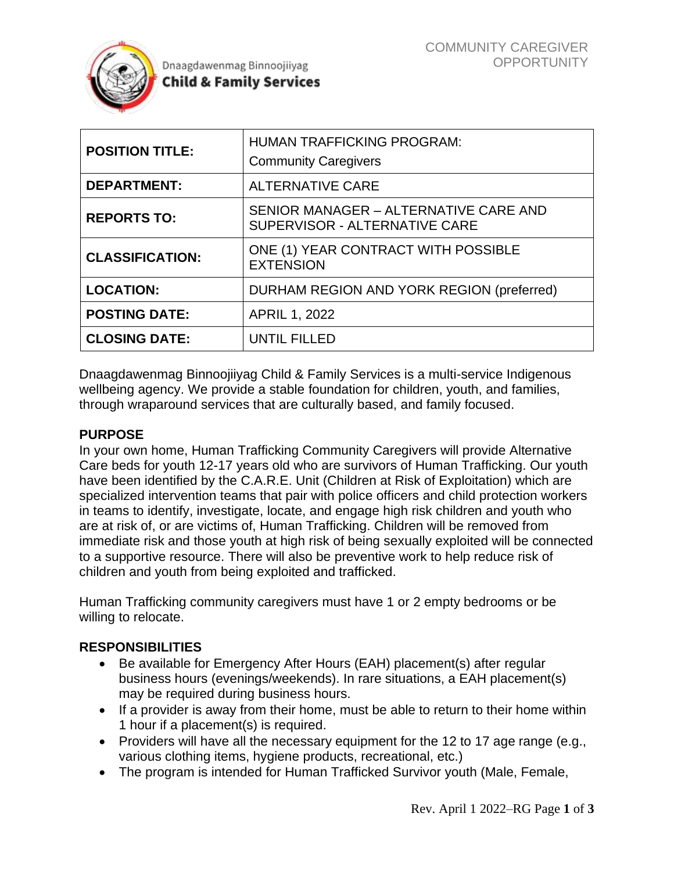

| <b>POSITION TITLE:</b> | <b>HUMAN TRAFFICKING PROGRAM:</b><br><b>Community Caregivers</b>       |
|------------------------|------------------------------------------------------------------------|
| <b>DEPARTMENT:</b>     | <b>ALTERNATIVE CARE</b>                                                |
| <b>REPORTS TO:</b>     | SENIOR MANAGER - ALTERNATIVE CARE AND<br>SUPERVISOR - ALTERNATIVE CARE |
| <b>CLASSIFICATION:</b> | ONE (1) YEAR CONTRACT WITH POSSIBLE<br><b>EXTENSION</b>                |
| <b>LOCATION:</b>       | DURHAM REGION AND YORK REGION (preferred)                              |
| <b>POSTING DATE:</b>   | <b>APRIL 1, 2022</b>                                                   |
| <b>CLOSING DATE:</b>   | UNTIL FILLED                                                           |

Dnaagdawenmag Binnoojiiyag Child & Family Services is a multi-service Indigenous wellbeing agency. We provide a stable foundation for children, youth, and families, through wraparound services that are culturally based, and family focused.

#### **PURPOSE**

In your own home, Human Trafficking Community Caregivers will provide Alternative Care beds for youth 12-17 years old who are survivors of Human Trafficking. Our youth have been identified by the C.A.R.E. Unit (Children at Risk of Exploitation) which are specialized intervention teams that pair with police officers and child protection workers in teams to identify, investigate, locate, and engage high risk children and youth who are at risk of, or are victims of, Human Trafficking. Children will be removed from immediate risk and those youth at high risk of being sexually exploited will be connected to a supportive resource. There will also be preventive work to help reduce risk of children and youth from being exploited and trafficked.

Human Trafficking community caregivers must have 1 or 2 empty bedrooms or be willing to relocate.

#### **RESPONSIBILITIES**

- Be available for Emergency After Hours (EAH) placement(s) after regular business hours (evenings/weekends). In rare situations, a EAH placement(s) may be required during business hours.
- If a provider is away from their home, must be able to return to their home within 1 hour if a placement(s) is required.
- Providers will have all the necessary equipment for the 12 to 17 age range (e.g., various clothing items, hygiene products, recreational, etc.)
- The program is intended for Human Trafficked Survivor youth (Male, Female,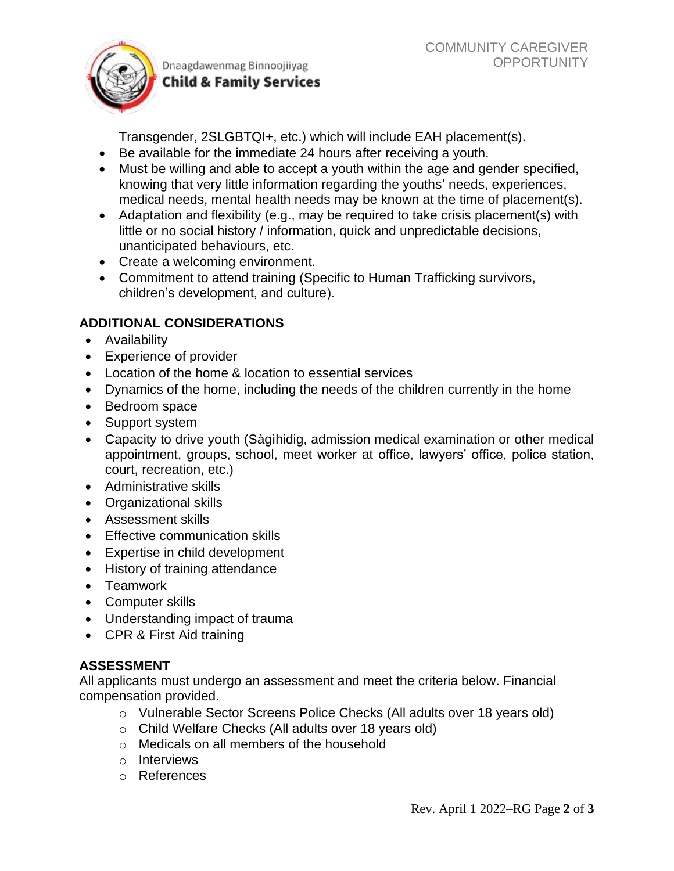

Transgender, 2SLGBTQI+, etc.) which will include EAH placement(s).

- Be available for the immediate 24 hours after receiving a youth.
- Must be willing and able to accept a youth within the age and gender specified, knowing that very little information regarding the youths' needs, experiences, medical needs, mental health needs may be known at the time of placement(s).
- Adaptation and flexibility (e.g., may be required to take crisis placement(s) with little or no social history / information, quick and unpredictable decisions, unanticipated behaviours, etc.
- Create a welcoming environment.
- Commitment to attend training (Specific to Human Trafficking survivors, children's development, and culture).

# **ADDITIONAL CONSIDERATIONS**

- Availability
- Experience of provider
- Location of the home & location to essential services
- Dynamics of the home, including the needs of the children currently in the home
- Bedroom space
- Support system
- Capacity to drive youth (Sàgìhidig, admission medical examination or other medical appointment, groups, school, meet worker at office, lawyers' office, police station, court, recreation, etc.)
- Administrative skills
- Organizational skills
- Assessment skills
- Effective communication skills
- Expertise in child development
- History of training attendance
- Teamwork
- Computer skills
- Understanding impact of trauma
- CPR & First Aid training

# **ASSESSMENT**

All applicants must undergo an assessment and meet the criteria below. Financial compensation provided.

- o Vulnerable Sector Screens Police Checks (All adults over 18 years old)
- o Child Welfare Checks (All adults over 18 years old)
- o Medicals on all members of the household
- o Interviews
- o References